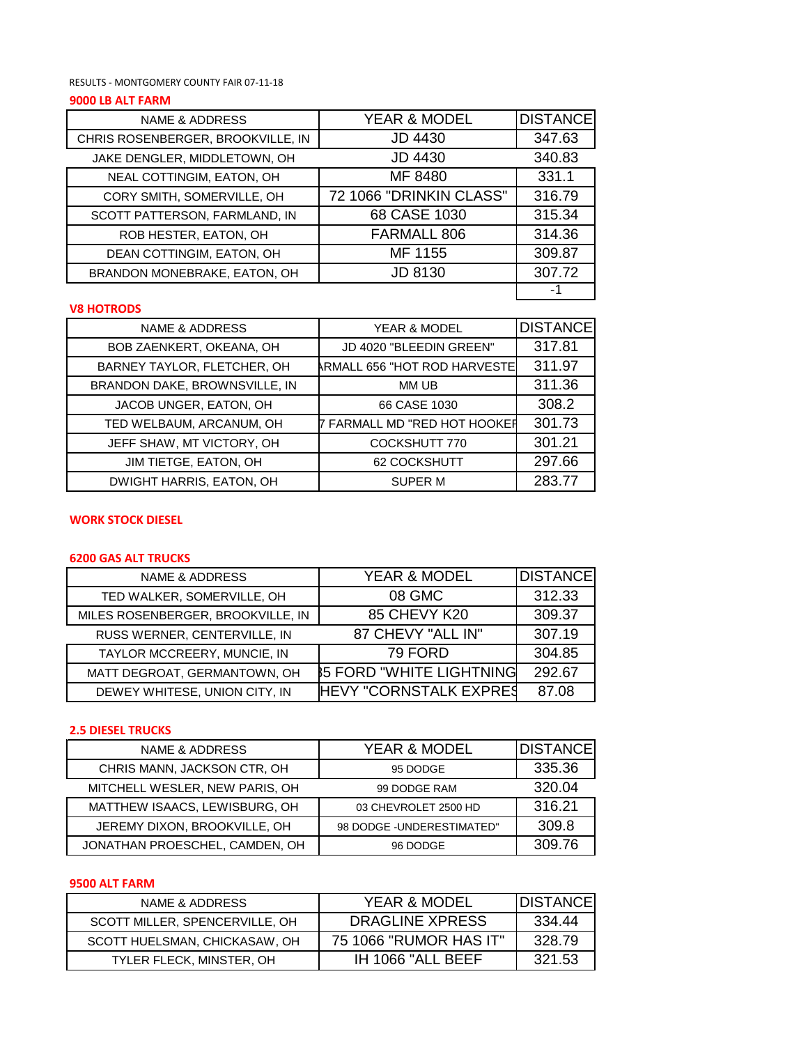RESULTS - MONTGOMERY COUNTY FAIR 07-11-18

# **9000 LB ALT FARM**

| <b>NAME &amp; ADDRESS</b>         | YEAR & MODEL            | <b>DISTANCE</b> |
|-----------------------------------|-------------------------|-----------------|
| CHRIS ROSENBERGER, BROOKVILLE, IN | <b>JD 4430</b>          | 347.63          |
| JAKE DENGLER, MIDDLETOWN, OH      | <b>JD 4430</b>          | 340.83          |
| NEAL COTTINGIM, EATON, OH         | MF 8480                 | 331.1           |
| CORY SMITH, SOMERVILLE, OH        | 72 1066 "DRINKIN CLASS" | 316.79          |
| SCOTT PATTERSON, FARMLAND, IN     | 68 CASE 1030            | 315.34          |
| ROB HESTER, EATON, OH             | FARMALL 806             | 314.36          |
| DEAN COTTINGIM, EATON, OH         | MF 1155                 | 309.87          |
| BRANDON MONEBRAKE, EATON, OH      | <b>JD 8130</b>          | 307.72          |
|                                   |                         |                 |

#### **V8 HOTRODS**

| <b>NAME &amp; ADDRESS</b>     | YEAR & MODEL                      | <b>DISTANCE</b> |
|-------------------------------|-----------------------------------|-----------------|
| BOB ZAENKERT, OKEANA, OH      | JD 4020 "BLEEDIN GREEN"           | 317.81          |
| BARNEY TAYLOR, FLETCHER, OH   | ARMALL 656 "HOT ROD HARVESTE      | 311.97          |
| BRANDON DAKE, BROWNSVILLE, IN | MM UB                             | 311.36          |
| JACOB UNGER, EATON, OH        | 66 CASE 1030                      | 308.2           |
| TED WELBAUM, ARCANUM, OH      | <b>FARMALL MD "RED HOT HOOKER</b> | 301.73          |
| JEFF SHAW, MT VICTORY, OH     | COCKSHUTT 770                     | 301.21          |
| JIM TIETGE, EATON, OH         | 62 COCKSHUTT                      | 297.66          |
| DWIGHT HARRIS, EATON, OH      | <b>SUPER M</b>                    | 283.77          |

#### **WORK STOCK DIESEL**

## **6200 GAS ALT TRUCKS**

| <b>NAME &amp; ADDRESS</b>         | <b>YEAR &amp; MODEL</b>         | <b>DISTANCE</b> |
|-----------------------------------|---------------------------------|-----------------|
| TED WALKER, SOMERVILLE, OH        | 08 GMC                          | 312.33          |
| MILES ROSENBERGER, BROOKVILLE, IN | 85 CHEVY K20                    | 309.37          |
| RUSS WERNER, CENTERVILLE, IN      | 87 CHEVY "ALL IN"               | 307.19          |
| TAYLOR MCCREERY, MUNCIE, IN       | 79 FORD                         | 304.85          |
| MATT DEGROAT, GERMANTOWN, OH      | <b>85 FORD "WHITE LIGHTNING</b> | 292.67          |
| DEWEY WHITESE, UNION CITY, IN     | <b>HEVY "CORNSTALK EXPRES</b>   | 87.08           |

## **2.5 DIESEL TRUCKS**

| NAME & ADDRESS                 | <b>YEAR &amp; MODEL</b>    | <b>DISTANCE</b> |
|--------------------------------|----------------------------|-----------------|
| CHRIS MANN, JACKSON CTR, OH    | 95 DODGE                   | 335.36          |
| MITCHELL WESLER, NEW PARIS, OH | 99 DODGE RAM               | 320.04          |
| MATTHEW ISAACS, LEWISBURG, OH  | 03 CHEVROLET 2500 HD       | 316.21          |
| JEREMY DIXON, BROOKVILLE, OH   | 98 DODGE - UNDERESTIMATED" | 309.8           |
| JONATHAN PROESCHEL, CAMDEN, OH | 96 DODGE                   | 309.76          |

#### **9500 ALT FARM**

| NAME & ADDRESS                 | YEAR & MODEL           | IDISTANCE |
|--------------------------------|------------------------|-----------|
| SCOTT MILLER, SPENCERVILLE, OH | DRAGLINE XPRESS        | 334.44    |
| SCOTT HUELSMAN, CHICKASAW, OH  | 75 1066 "RUMOR HAS IT" | 328.79    |
| TYLER FLECK, MINSTER, OH       | IH 1066 "ALL BEEF      | 321.53    |